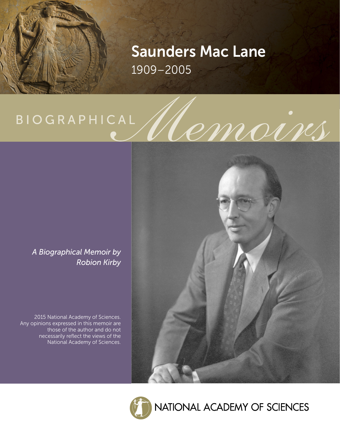## Saunders Mac Lane 1909–2005

# **BIOGRAPHICAL**

*A Biographical Memoir by Robion Kirby*

2015 National Academy of Sciences. Any opinions expressed in this memoir are those of the author and do not necessarily reflect the views of the National Academy of Sciences.





NATIONAL ACADEMY OF SCIENCES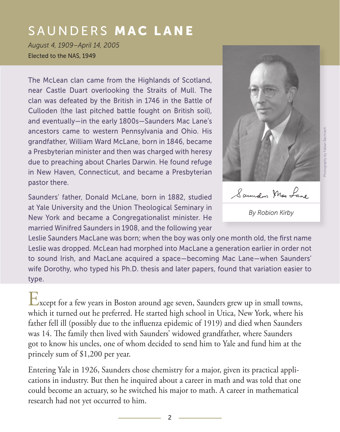*August 4, 1909–April 14, 2005* Elected to the NAS, 1949

The McLean clan came from the Highlands of Scotland, near Castle Duart overlooking the Straits of Mull. The clan was defeated by the British in 1746 in the Battle of Culloden (the last pitched battle fought on British soil), and eventually—in the early 1800s—Saunders Mac Lane's ancestors came to western Pennsylvania and Ohio. His grandfather, William Ward McLane, born in 1846, became a Presbyterian minister and then was charged with heresy due to preaching about Charles Darwin. He found refuge in New Haven, Connecticut, and became a Presbyterian pastor there.

Saunders' father, Donald McLane, born in 1882, studied at Yale University and the Union Theological Seminary in New York and became a Congregationalist minister. He married Winifred Saunders in 1908, and the following year

hotography by Fabian Bachrach Photography by Fabian Bachrach.

Saunders Mac Lane

*By Robion Kirby*

Leslie Saunders MacLane was born; when the boy was only one month old, the first name Leslie was dropped. McLean had morphed into MacLane a generation earlier in order not to sound Irish, and MacLane acquired a space—becoming Mac Lane—when Saunders' wife Dorothy, who typed his Ph.D. thesis and later papers, found that variation easier to type.

Except for a few years in Boston around age seven, Saunders grew up in small towns, which it turned out he preferred. He started high school in Utica, New York, where his father fell ill (possibly due to the influenza epidemic of 1919) and died when Saunders was 14. The family then lived with Saunders' widowed grandfather, where Saunders got to know his uncles, one of whom decided to send him to Yale and fund him at the princely sum of \$1,200 per year.

Entering Yale in 1926, Saunders chose chemistry for a major, given its practical applications in industry. But then he inquired about a career in math and was told that one could become an actuary, so he switched his major to math. A career in mathematical research had not yet occurred to him.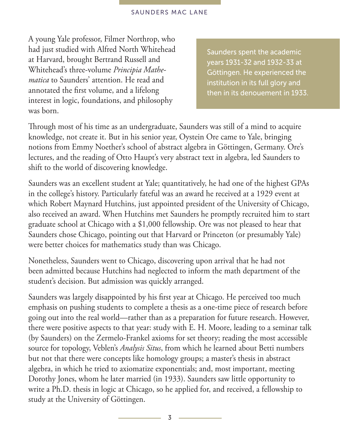A young Yale professor, Filmer Northrop, who had just studied with Alfred North Whitehead at Harvard, brought Bertrand Russell and Whitehead's three-volume *Principia Mathematica* to Saunders' attention. He read and annotated the first volume, and a lifelong interest in logic, foundations, and philosophy was born.

Saunders spent the academic years 1931-32 and 1932-33 at Göttingen. He experienced the institution in its full glory and then in its denouement in 1933.

Through most of his time as an undergraduate, Saunders was still of a mind to acquire knowledge, not create it. But in his senior year, Oystein Ore came to Yale, bringing notions from Emmy Noether's school of abstract algebra in Göttingen, Germany. Ore's lectures, and the reading of Otto Haupt's very abstract text in algebra, led Saunders to shift to the world of discovering knowledge.

Saunders was an excellent student at Yale; quantitatively, he had one of the highest GPAs in the college's history. Particularly fateful was an award he received at a 1929 event at which Robert Maynard Hutchins, just appointed president of the University of Chicago, also received an award. When Hutchins met Saunders he promptly recruited him to start graduate school at Chicago with a \$1,000 fellowship. Ore was not pleased to hear that Saunders chose Chicago, pointing out that Harvard or Princeton (or presumably Yale) were better choices for mathematics study than was Chicago.

Nonetheless, Saunders went to Chicago, discovering upon arrival that he had not been admitted because Hutchins had neglected to inform the math department of the student's decision. But admission was quickly arranged.

Saunders was largely disappointed by his first year at Chicago. He perceived too much emphasis on pushing students to complete a thesis as a one-time piece of research before going out into the real world—rather than as a preparation for future research. However, there were positive aspects to that year: study with E. H. Moore, leading to a seminar talk (by Saunders) on the Zermelo-Frankel axioms for set theory; reading the most accessible source for topology, Veblen's *Analysis Situs*, from which he learned about Betti numbers but not that there were concepts like homology groups; a master's thesis in abstract algebra, in which he tried to axiomatize exponentials; and, most important, meeting Dorothy Jones, whom he later married (in 1933). Saunders saw little opportunity to write a Ph.D. thesis in logic at Chicago, so he applied for, and received, a fellowship to study at the University of Göttingen.

3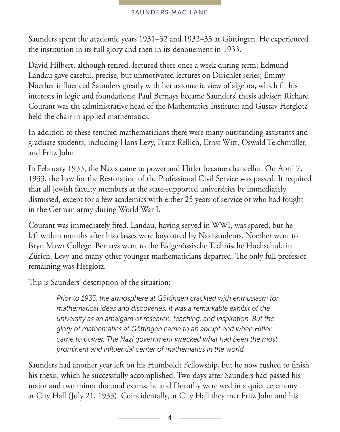Saunders spent the academic years 1931–32 and 1932–33 at Göttingen. He experienced the institution in its full glory and then in its denouement in 1933.

David Hilbert, although retired, lectured there once a week during term; Edmund Landau gave careful, precise, but unmotivated lectures on Dirichlet series; Emmy Noether influenced Saunders greatly with her axiomatic view of algebra, which fit his interests in logic and foundations; Paul Bernays became Saunders' thesis adviser; Richard Courant was the administrative head of the Mathematics Institute; and Gustav Herglotz held the chair in applied mathematics.

In addition to these tenured mathematicians there were many outstanding assistants and graduate students, including Hans Levy, Franz Rellich, Ernst Witt, Oswald Teichmüller, and Fritz John.

In February 1933, the Nazis came to power and Hitler became chancellor. On April 7, 1933, the Law for the Restoration of the Professional Civil Service was passed. It required that all Jewish faculty members at the state-supported universities be immediately dismissed, except for a few academics with either 25 years of service or who had fought in the German army during World War I.

Courant was immediately fired. Landau, having served in WWI, was spared, but he left within months after his classes were boycotted by Nazi students. Noether went to Bryn Mawr College. Bernays went to the Eidgenössische Technische Hochschule in Zürich. Levy and many other younger mathematicians departed. The only full professor remaining was Herglotz.

This is Saunders' description of the situation:

*Prior to 1933, the atmosphere at Göttingen crackled with enthusiasm for mathematical ideas and discoveries. It was a remarkable exhibit of the university as an amalgam of research, teaching, and inspiration. But the glory of mathematics at Göttingen came to an abrupt end when Hitler came to power. The Nazi government wrecked what had been the most prominent and influential center of mathematics in the world.*

Saunders had another year left on his Humboldt Fellowship, but he now rushed to finish his thesis, which he successfully accomplished. Two days after Saunders had passed his major and two minor doctoral exams, he and Dorothy were wed in a quiet ceremony at City Hall (July 21, 1933). Coincidentally, at City Hall they met Fritz John and his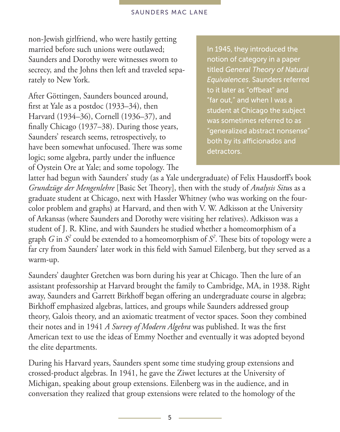non-Jewish girlfriend, who were hastily getting married before such unions were outlawed; Saunders and Dorothy were witnesses sworn to secrecy, and the Johns then left and traveled separately to New York.

After Göttingen, Saunders bounced around, first at Yale as a postdoc (1933–34), then Harvard (1934–36), Cornell (1936–37), and finally Chicago (1937–38). During those years, Saunders' research seems, retrospectively, to have been somewhat unfocused. There was some logic; some algebra, partly under the influence of Oystein Ore at Yale; and some topology. The

In 1945, they introduced the notion of category in a paper titled *General Theory of Natural Equivalences*. Saunders referred to it later as "offbeat" and "far out," and when I was a student at Chicago the subject was sometimes referred to as "generalized abstract nonsense" both by its afficionados and detractors.

latter had begun with Saunders' study (as a Yale undergraduate) of Felix Hausdorff's book *Grundzüge der Mengenlehre* [Basic Set Theory], then with the study of *Analysis Situ*s as a graduate student at Chicago, next with Hassler Whitney (who was working on the fourcolor problem and graphs) at Harvard, and then with V. W. Adkisson at the University of Arkansas (where Saunders and Dorothy were visiting her relatives). Adkisson was a student of J. R. Kline, and with Saunders he studied whether a homeomorphism of a graph  $G$  in  $S^2$  could be extended to a homeomorphism of  $S^2$ . These bits of topology were a far cry from Saunders' later work in this field with Samuel Eilenberg, but they served as a warm-up.

Saunders' daughter Gretchen was born during his year at Chicago. Then the lure of an assistant professorship at Harvard brought the family to Cambridge, MA, in 1938. Right away, Saunders and Garrett Birkhoff began offering an undergraduate course in algebra; Birkhoff emphasized algebras, lattices, and groups while Saunders addressed group theory, Galois theory, and an axiomatic treatment of vector spaces. Soon they combined their notes and in 1941 *A Survey of Modern Algebra* was published. It was the first American text to use the ideas of Emmy Noether and eventually it was adopted beyond the elite departments.

During his Harvard years, Saunders spent some time studying group extensions and crossed-product algebras. In 1941, he gave the Ziwet lectures at the University of Michigan, speaking about group extensions. Eilenberg was in the audience, and in conversation they realized that group extensions were related to the homology of the

5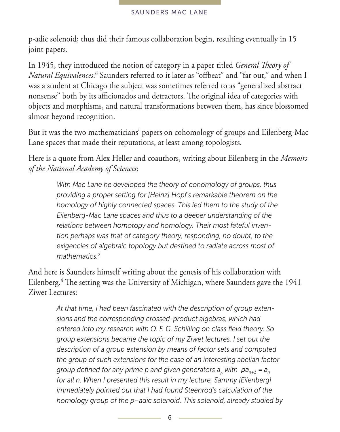p-adic solenoid; thus did their famous collaboration begin, resulting eventually in 15 joint papers.

In 1945, they introduced the notion of category in a paper titled *General Theory of Natural Equivalences*.<sup>6</sup> Saunders referred to it later as "offbeat" and "far out," and when I was a student at Chicago the subject was sometimes referred to as "generalized abstract nonsense" both by its afficionados and detractors. The original idea of categories with objects and morphisms, and natural transformations between them, has since blossomed almost beyond recognition.

But it was the two mathematicians' papers on cohomology of groups and Eilenberg-Mac Lane spaces that made their reputations, at least among topologists.

Here is a quote from Alex Heller and coauthors, writing about Eilenberg in the *Memoirs of the National Academy of Sciences*:

> *With Mac Lane he developed the theory of cohomology of groups, thus providing a proper setting for [Heinz] Hopf's remarkable theorem on the homology of highly connected spaces. This led them to the study of the Eilenberg-Mac Lane spaces and thus to a deeper understanding of the relations between homotopy and homology. Their most fateful invention perhaps was that of category theory, responding, no doubt, to the exigencies of algebraic topology but destined to radiate across most of mathematics.2*

And here is Saunders himself writing about the genesis of his collaboration with Eilenberg.4 The setting was the University of Michigan, where Saunders gave the 1941 Ziwet Lectures:

> *At that time, I had been fascinated with the description of group extensions and the corresponding crossed-product algebras, which had entered into my research with O. F. G. Schilling on class field theory. So group extensions became the topic of my Ziwet lectures. I set out the description of a group extension by means of factor sets and computed the group of such extensions for the case of an interesting abelian factor group defined for any prime p and given generators*  $a_n$  *with*  $pa_{n+1} = a_n$ *for all n. When I presented this result in my lecture, Sammy [Eilenberg] immediately pointed out that I had found Steenrod's calculation of the homology group of the p–adic solenoid. This solenoid, already studied by*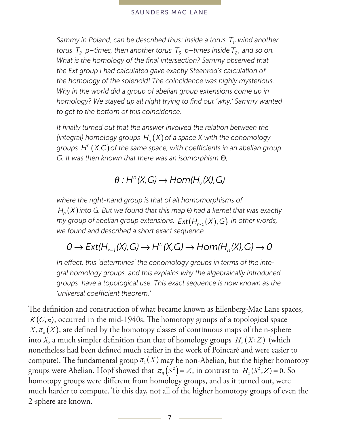*Sammy in Poland, can be described thus: Inside a torus*  $T_i$  *wind another torus*  $T_2$  *p–times, then another torus*  $T_3$  *p–times inside*  $T_2$ , and so on. *What is the homology of the final intersection? Sammy observed that the Ext group I had calculated gave exactly Steenrod's calculation of the homology of the solenoid! The coincidence was highly mysterious. Why in the world did a group of abelian group extensions come up in homology? We stayed up all night trying to find out 'why.' Sammy wanted to get to the bottom of this coincidence.*

*It finally turned out that the answer involved the relation between the (integral) homology groups*  $H<sub>n</sub>(X)$  *of a space X with the cohomology groups H<sup>n</sup>* (*X,C*) of the same space, with coefficients in an abelian group *G. It was then known that there was an isomorphism* Θ*,*

### $\theta$  *:*  $H^n(X, G) \to Hom(H_v(X), G)$

*where the right-hand group is that of all homomorphisms of H X*( ) *<sup>n</sup> into G. But we found that this map* Θ *had a kernel that was exactly my group of abelian group extensions,*  $Ext(H_{n-1}(X), G)$ . In other words, *we found and described a short exact sequence*

### $0 \rightarrow Ext(H_{n-1}(X), G) \rightarrow H^{n}(X, G) \rightarrow Hom(H_{n}(X), G) \rightarrow 0$

*In effect, this 'determines' the cohomology groups in terms of the integral homology groups, and this explains why the algebraically introduced groups have a topological use. This exact sequence is now known as the 'universal coefficient theorem.'*

The definition and construction of what became known as Eilenberg-Mac Lane spaces,  $K(G, n)$ , occurred in the mid-1940s. The homotopy groups of a topological space  $X, \pi_n(X)$ , are defined by the homotopy classes of continuous maps of the n-sphere into *X*, a much simpler definition than that of homology groups  $H<sub>x</sub>(X;Z)$  (which nonetheless had been defined much earlier in the work of Poincaré and were easier to compute). The fundamental group  $\pi_1(X)$  may be non-Abelian, but the higher homotopy groups were Abelian. Hopf showed that  $\pi_3(S^2) = Z$ , in contrast to  $H_3(S^2, Z) = 0$ . So homotopy groups were different from homology groups, and as it turned out, were much harder to compute. To this day, not all of the higher homotopy groups of even the 2-sphere are known.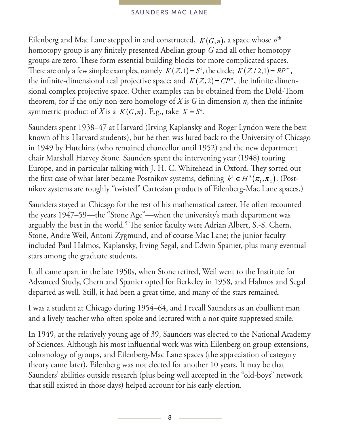Eilenberg and Mac Lane stepped in and constructed,  $K(G, n)$ , a space whose  $n^{\text{th}}$ homotopy group is any finitely presented Abelian group *G* and all other homotopy groups are zero. These form essential building blocks for more complicated spaces. There are only a few simple examples, namely  $K(Z, 1) = S<sup>1</sup>$ , the circle;  $K(Z/2, 1) = RP<sup>\infty</sup>$ , the infinite-dimensional real projective space; and  $K(Z, 2) = CP^{\infty}$ , the infinite dimensional complex projective space. Other examples can be obtained from the Dold-Thom theorem, for if the only non-zero homology of *X* is *G* in dimension *n*, then the infinite symmetric product of *X* is a  $K(G, n)$ . E.g., take  $X = S^n$ .

Saunders spent 1938–47 at Harvard (Irving Kaplansky and Roger Lyndon were the best known of his Harvard students), but he then was lured back to the University of Chicago in 1949 by Hutchins (who remained chancellor until 1952) and the new department chair Marshall Harvey Stone. Saunders spent the intervening year (1948) touring Europe, and in particular talking with J. H. C. Whitehead in Oxford. They sorted out the first case of what later became Postnikov systems, defining  $k^3 \in H^3(\pi_1, \pi_2)$ . (Postnikov systems are roughly "twisted" Cartesian products of Eilenberg-Mac Lane spaces.)

Saunders stayed at Chicago for the rest of his mathematical career. He often recounted the years 1947–59—the "Stone Age"—when the university's math department was arguably the best in the world.<sup>5</sup> The senior faculty were Adrian Albert, S.-S. Chern, Stone, Andre Weil, Antoni Zygmund, and of course Mac Lane; the junior faculty included Paul Halmos, Kaplansky, Irving Segal, and Edwin Spanier, plus many eventual stars among the graduate students.

It all came apart in the late 1950s, when Stone retired, Weil went to the Institute for Advanced Study, Chern and Spanier opted for Berkeley in 1958, and Halmos and Segal departed as well. Still, it had been a great time, and many of the stars remained.

I was a student at Chicago during 1954–64, and I recall Saunders as an ebullient man and a lively teacher who often spoke and lectured with a not quite suppressed smile.

In 1949, at the relatively young age of 39, Saunders was elected to the National Academy of Sciences. Although his most influential work was with Eilenberg on group extensions, cohomology of groups, and Eilenberg-Mac Lane spaces (the appreciation of category theory came later), Eilenberg was not elected for another 10 years. It may be that Saunders' abilities outside research (plus being well accepted in the "old-boys" network that still existed in those days) helped account for his early election.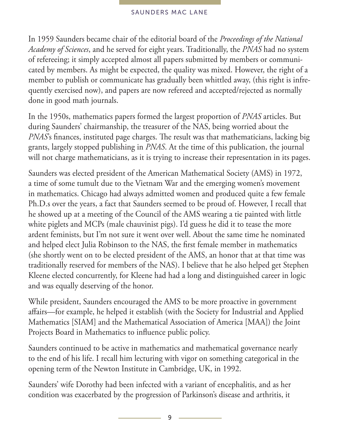In 1959 Saunders became chair of the editorial board of the *Proceedings of the National Academy of Sciences*, and he served for eight years. Traditionally, the *PNAS* had no system of refereeing; it simply accepted almost all papers submitted by members or communicated by members. As might be expected, the quality was mixed. However, the right of a member to publish or communicate has gradually been whittled away, (this right is infrequently exercised now), and papers are now refereed and accepted/rejected as normally done in good math journals.

In the 1950s, mathematics papers formed the largest proportion of *PNAS* articles. But during Saunders' chairmanship, the treasurer of the NAS, being worried about the *PNAS*'s finances, instituted page charges. The result was that mathematicians, lacking big grants, largely stopped publishing in *PNAS*. At the time of this publication, the journal will not charge mathematicians, as it is trying to increase their representation in its pages.

Saunders was elected president of the American Mathematical Society (AMS) in 1972, a time of some tumult due to the Vietnam War and the emerging women's movement in mathematics. Chicago had always admitted women and produced quite a few female Ph.D.s over the years, a fact that Saunders seemed to be proud of. However, I recall that he showed up at a meeting of the Council of the AMS wearing a tie painted with little white piglets and MCPs (male chauvinist pigs). I'd guess he did it to tease the more ardent feminists, but I'm not sure it went over well. About the same time he nominated and helped elect Julia Robinson to the NAS, the first female member in mathematics (she shortly went on to be elected president of the AMS, an honor that at that time was traditionally reserved for members of the NAS). I believe that he also helped get Stephen Kleene elected concurrently, for Kleene had had a long and distinguished career in logic and was equally deserving of the honor.

While president, Saunders encouraged the AMS to be more proactive in government affairs—for example, he helped it establish (with the Society for Industrial and Applied Mathematics [SIAM] and the Mathematical Association of America [MAA]) the Joint Projects Board in Mathematics to influence public policy.

Saunders continued to be active in mathematics and mathematical governance nearly to the end of his life. I recall him lecturing with vigor on something categorical in the opening term of the Newton Institute in Cambridge, UK, in 1992.

Saunders' wife Dorothy had been infected with a variant of encephalitis, and as her condition was exacerbated by the progression of Parkinson's disease and arthritis, it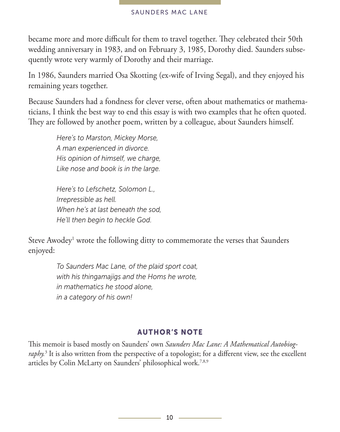became more and more difficult for them to travel together. They celebrated their 50th wedding anniversary in 1983, and on February 3, 1985, Dorothy died. Saunders subsequently wrote very warmly of Dorothy and their marriage.

In 1986, Saunders married Osa Skotting (ex-wife of Irving Segal), and they enjoyed his remaining years together.

Because Saunders had a fondness for clever verse, often about mathematics or mathematicians, I think the best way to end this essay is with two examples that he often quoted. They are followed by another poem, written by a colleague, about Saunders himself.

*Here's to Marston, Mickey Morse, A man experienced in divorce. His opinion of himself, we charge, Like nose and book is in the large.*

*Here's to Lefschetz, Solomon L., Irrepressible as hell. When he's at last beneath the sod, He'll then begin to heckle God.*

Steve Awodey<sup>1</sup> wrote the following ditty to commemorate the verses that Saunders enjoyed:

> *To Saunders Mac Lane, of the plaid sport coat, with his thingamajigs and the Homs he wrote, in mathematics he stood alone, in a category of his own!*

#### AUTHOR'S NOTE

This memoir is based mostly on Saunders' own *Saunders Mac Lane: A Mathematical Autobiography.*<sup>3</sup> It is also written from the perspective of a topologist; for a different view, see the excellent articles by Colin McLarty on Saunders' philosophical work.7,8,9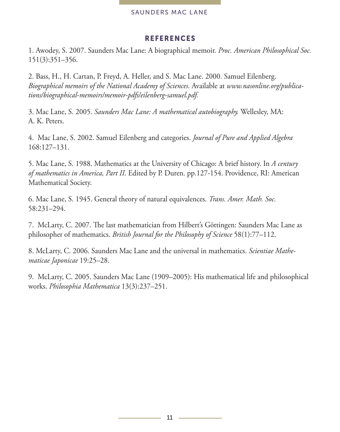#### REFERENCES

1. Awodey, S. 2007. Saunders Mac Lane: A biographical memoir. *Proc. American Philosophical Soc.*  151(3):351–356.

2. Bass, H., H. Cartan, P. Freyd, A. Heller, and S. Mac Lane. 2000. Samuel Eilenberg. *Biographical memoirs of the National Academy of Sciences*. Available at *www.nasonline.org/publications/biographical-memoirs/memoir-pdfs/eilenberg-samuel.pdf.*

3. Mac Lane, S. 2005. *Saunders Mac Lane: A mathematical autobiography.* Wellesley, MA: A. K. Peters.

4. Mac Lane, S. 2002. Samuel Eilenberg and categories. *Journal of Pure and Applied Algebra*  168:127–131.

5. Mac Lane, S. 1988. Mathematics at the University of Chicago: A brief history. In *A century of mathematics in America, Part II*. Edited by P. Duren. pp.127-154. Providence, RI: American Mathematical Society.

6. Mac Lane, S. 1945. General theory of natural equivalences. *Trans. Amer. Math. Soc.*  58:231–294.

7. McLarty, C. 2007. The last mathematician from Hilbert's Göttingen: Saunders Mac Lane as philosopher of mathematics. *British Journal for the Philosophy of Science* 58(1):77–112.

8. McLarty, C. 2006. Saunders Mac Lane and the universal in mathematics. *Scientiae Mathematicae Japonicae* 19:25–28.

9. McLarty, C. 2005. Saunders Mac Lane (1909–2005): His mathematical life and philosophical works. *Philosophia Mathematica* 13(3):237–251.

11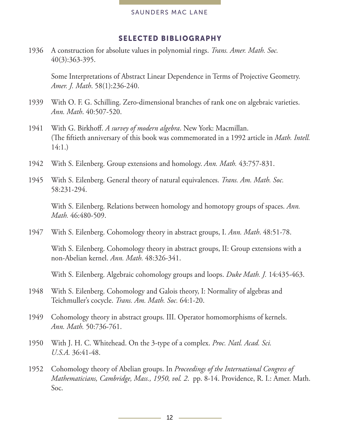#### SELECTED BIBLIOGRAPHY

1936 A construction for absolute values in polynomial rings. *Trans. Amer. Math. Soc.* 40(3):363-395.

Some Interpretations of Abstract Linear Dependence in Terms of Projective Geometry. *Amer. J. Math*. 58(1):236-240.

- 1939 With O. F. G. Schilling. Zero-dimensional branches of rank one on algebraic varieties. *Ann. Math*. 40:507-520.
- 1941 With G. Birkhoff. *A survey of modern algebra*. New York: Macmillan. (The fiftieth anniversary of this book was commemorated in a 1992 article in *Math. Intell.*  14:1.)
- 1942 With S. Eilenberg. Group extensions and homology. *Ann. Math.* 43:757-831.
- 1945 With S. Eilenberg. General theory of natural equivalences. *Trans. Am. Math. Soc.* 58:231-294.

With S. Eilenberg. Relations between homology and homotopy groups of spaces. *Ann. Math.* 46:480-509.

1947 With S. Eilenberg. Cohomology theory in abstract groups, I. *Ann. Math*. 48:51-78.

With S. Eilenberg. Cohomology theory in abstract groups, II: Group extensions with a non-Abelian kernel. *Ann. Math.* 48:326-341.

With S. Eilenberg. Algebraic cohomology groups and loops. *Duke Math. J.* 14:435-463.

- 1948 With S. Eilenberg. Cohomology and Galois theory, I: Normality of algebras and Teichmuller's cocycle. *Trans. Am. Math. Soc.* 64:1-20.
- 1949 Cohomology theory in abstract groups. III. Operator homomorphisms of kernels. *Ann. Math.* 50:736-761.
- 1950 With J. H. C. Whitehead. On the 3-type of a complex. *Proc. Natl. Acad. Sci. U.S.A.* 36:41-48.
- 1952 Cohomology theory of Abelian groups. In *Proceedings of the International Congress of Mathematicians, Cambridge, Mass., 1950, vol. 2*. pp. 8-14. Providence, R. I.: Amer. Math. Soc.

 $12 -$